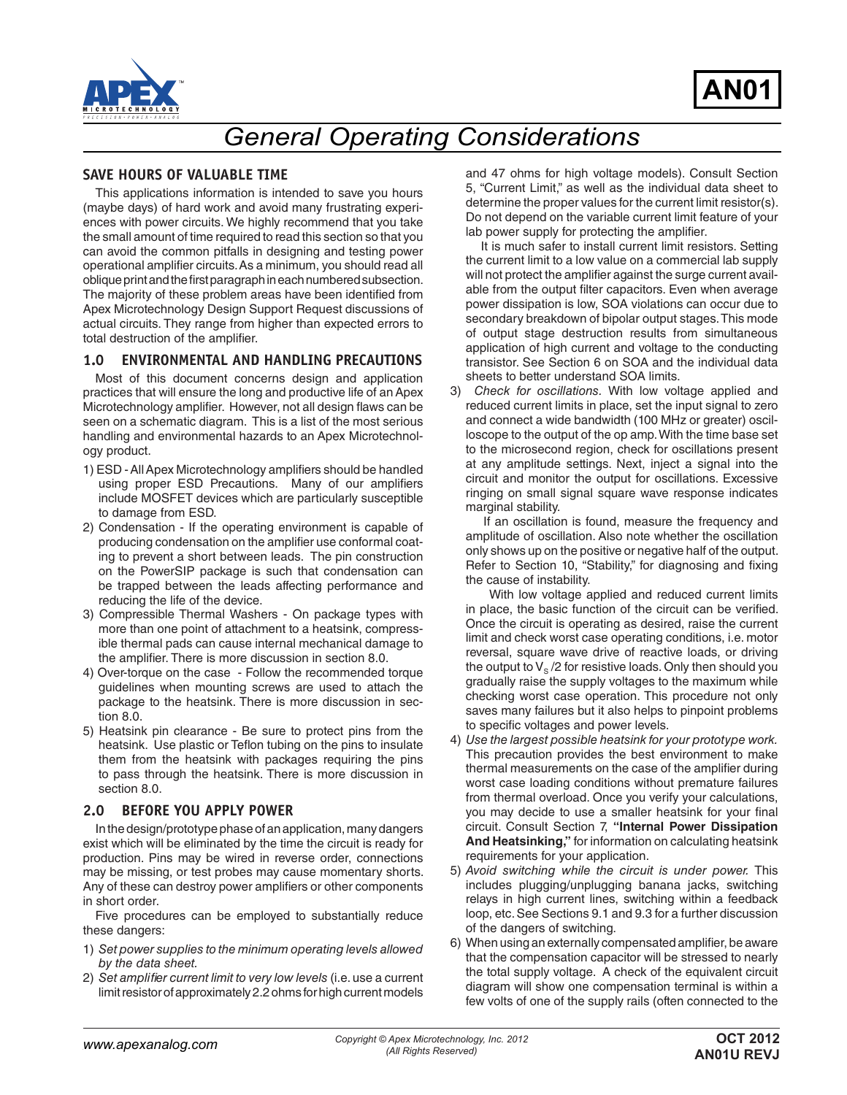



# *General Operating Considerations*

#### **SAVE HOURS OF VALUABLE TIME**

This applications information is intended to save you hours (maybe days) of hard work and avoid many frustrating experiences with power circuits. We highly recommend that you take the small amount of time required to read this section so that you can avoid the common pitfalls in designing and testing power operational amplifier circuits. As a minimum, you should read all oblique print and the first paragraph in each numbered subsection. The majority of these problem areas have been identified from Apex Microtechnology Design Support Request discussions of actual circuits. They range from higher than expected errors to total destruction of the amplifier.

## **1.0 ENVIRONMENTAL AND HANDLING PRECAUTIONS**

Most of this document concerns design and application practices that will ensure the long and productive life of an Apex Microtechnology amplifier. However, not all design flaws can be seen on a schematic diagram. This is a list of the most serious handling and environmental hazards to an Apex Microtechnology product.

- 1) ESD All Apex Microtechnology amplifiers should be handled using proper ESD Precautions. Many of our amplifiers include MOSFET devices which are particularly susceptible to damage from ESD.
- 2) Condensation If the operating environment is capable of producing condensation on the amplifier use conformal coating to prevent a short between leads. The pin construction on the PowerSIP package is such that condensation can be trapped between the leads affecting performance and reducing the life of the device.
- 3) Compressible Thermal Washers On package types with more than one point of attachment to a heatsink, compressible thermal pads can cause internal mechanical damage to the amplifier. There is more discussion in section 8.0.
- 4) Over-torque on the case Follow the recommended torque guidelines when mounting screws are used to attach the package to the heatsink. There is more discussion in section 8.0.
- 5) Heatsink pin clearance Be sure to protect pins from the heatsink. Use plastic or Teflon tubing on the pins to insulate them from the heatsink with packages requiring the pins to pass through the heatsink. There is more discussion in section 8.0.

#### **2.0 BEFORE YOU APPLY POWER**

In the design/prototype phase of an application, many dangers exist which will be eliminated by the time the circuit is ready for production. Pins may be wired in reverse order, connections may be missing, or test probes may cause momentary shorts. Any of these can destroy power amplifiers or other components in short order.

Five procedures can be employed to substantially reduce these dangers:

- 1) *Set power supplies to the minimum operating levels allowed by the data sheet.*
- 2) *Set amplifier current limit to very low levels* (i.e. use a current limit resistor of approximately 2.2 ohms for high current models

and 47 ohms for high voltage models). Consult Section 5, "Current Limit," as well as the individual data sheet to determine the proper values for the current limit resistor(s). Do not depend on the variable current limit feature of your lab power supply for protecting the amplifier.

 It is much safer to install current limit resistors. Setting the current limit to a low value on a commercial lab supply will not protect the amplifier against the surge current available from the output filter capacitors. Even when average power dissipation is low, SOA violations can occur due to secondary breakdown of bipolar output stages. This mode of output stage destruction results from simultaneous application of high current and voltage to the conducting transistor. See Section 6 on SOA and the individual data sheets to better understand SOA limits.

3) *Check for oscillations.* With low voltage applied and reduced current limits in place, set the input signal to zero and connect a wide bandwidth (100 MHz or greater) oscilloscope to the output of the op amp. With the time base set to the microsecond region, check for oscillations present at any amplitude settings. Next, inject a signal into the circuit and monitor the output for oscillations. Excessive ringing on small signal square wave response indicates marginal stability.

 If an oscillation is found, measure the frequency and amplitude of oscillation. Also note whether the oscillation only shows up on the positive or negative half of the output. Refer to Section 10, "Stability," for diagnosing and fixing the cause of instability.

 With low voltage applied and reduced current limits in place, the basic function of the circuit can be verified. Once the circuit is operating as desired, raise the current limit and check worst case operating conditions, i.e. motor reversal, square wave drive of reactive loads, or driving the output to  $V_{\rm s}$  /2 for resistive loads. Only then should you gradually raise the supply voltages to the maximum while checking worst case operation. This procedure not only saves many failures but it also helps to pinpoint problems to specific voltages and power levels.

- 4) *Use the largest possible heatsink for your prototype work.* This precaution provides the best environment to make thermal measurements on the case of the amplifier during worst case loading conditions without premature failures from thermal overload. Once you verify your calculations, you may decide to use a smaller heatsink for your final circuit. Consult Section 7, **"Internal Power Dissipation And Heatsinking,"** for information on calculating heatsink requirements for your application.
- 5) *Avoid switching while the circuit is under power.* This includes plugging/unplugging banana jacks, switching relays in high current lines, switching within a feedback loop, etc. See Sections 9.1 and 9.3 for a further discussion of the dangers of switching.
- 6) When using an externally compensated amplifier, be aware that the compensation capacitor will be stressed to nearly the total supply voltage. A check of the equivalent circuit diagram will show one compensation terminal is within a few volts of one of the supply rails (often connected to the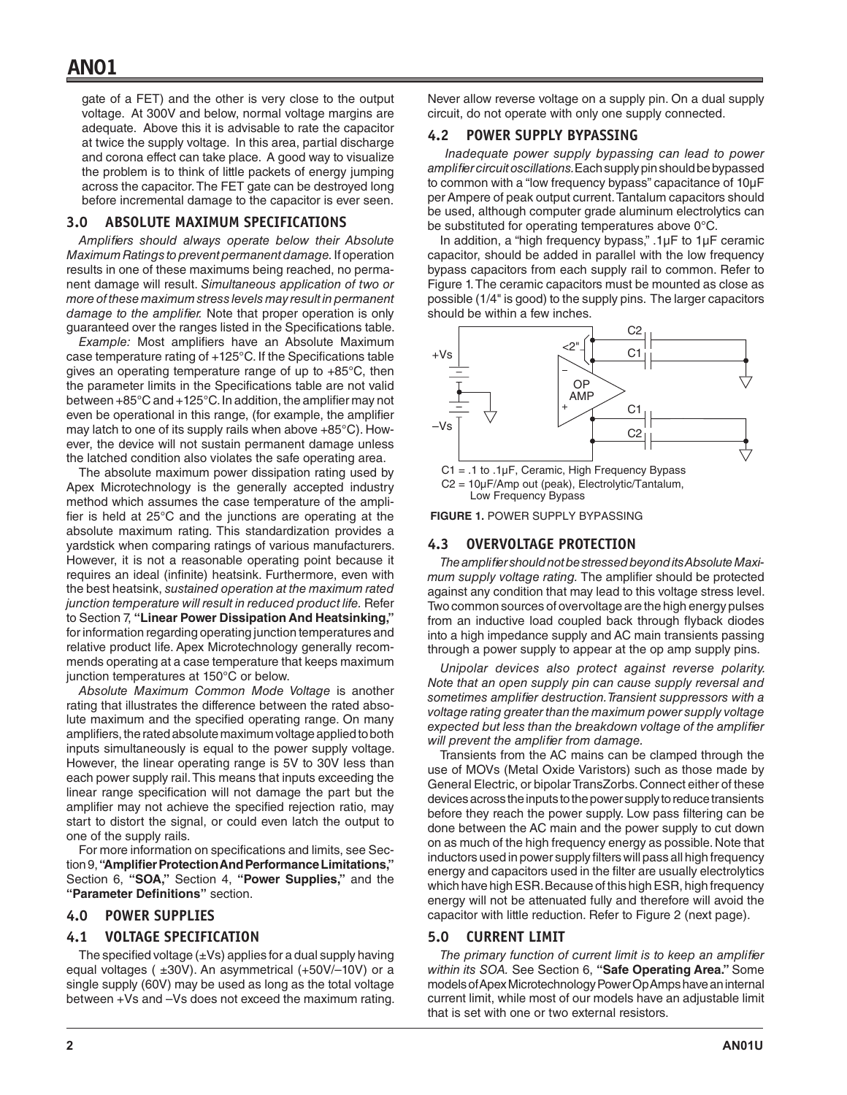gate of a FET) and the other is very close to the output voltage. At 300V and below, normal voltage margins are adequate. Above this it is advisable to rate the capacitor at twice the supply voltage. In this area, partial discharge and corona effect can take place. A good way to visualize the problem is to think of little packets of energy jumping across the capacitor. The FET gate can be destroyed long before incremental damage to the capacitor is ever seen.

#### **3.0 ABSOLUTE MAXIMUM SPECIFICATIONS**

*Amplifiers should always operate below their Absolute Maximum Ratings to prevent permanent damage.* If operation results in one of these maximums being reached, no permanent damage will result. *Simultaneous application of two or more of these maximum stress levels may result in permanent damage to the amplifier.* Note that proper operation is only guaranteed over the ranges listed in the Specifications table.

*Example:* Most amplifiers have an Absolute Maximum case temperature rating of +125°C. If the Specifications table gives an operating temperature range of up to +85°C, then the parameter limits in the Specifications table are not valid between +85°C and +125°C. In addition, the amplifier may not even be operational in this range, (for example, the amplifier may latch to one of its supply rails when above +85°C). However, the device will not sustain permanent damage unless the latched condition also violates the safe operating area.

The absolute maximum power dissipation rating used by Apex Microtechnology is the generally accepted industry method which assumes the case temperature of the amplifier is held at 25°C and the junctions are operating at the absolute maximum rating. This standardization provides a yardstick when comparing ratings of various manufacturers. However, it is not a reasonable operating point because it requires an ideal (infinite) heatsink. Furthermore, even with the best heatsink, *sustained operation at the maximum rated junction temperature will result in reduced product life.* Refer to Section 7, **"Linear Power Dissipation And Heatsinking,"** for information regarding operating junction temperatures and relative product life. Apex Microtechnology generally recommends operating at a case temperature that keeps maximum junction temperatures at 150°C or below.

*Absolute Maximum Common Mode Voltage* is another rating that illustrates the difference between the rated absolute maximum and the specified operating range. On many amplifiers, the rated absolute maximum voltage applied to both inputs simultaneously is equal to the power supply voltage. However, the linear operating range is 5V to 30V less than each power supply rail. This means that inputs exceeding the linear range specification will not damage the part but the amplifier may not achieve the specified rejection ratio, may start to distort the signal, or could even latch the output to one of the supply rails.

For more information on specifications and limits, see Section 9, **"Amplifier Protection And Performance Limitations,"** Section 6, **"SOA,"** Section 4, **"Power Supplies,"** and the **"Parameter Definitions"** section.

#### **4.0 POWER SUPPLIES**

#### **4.1 VOLTAGE SPECIFICATION**

The specified voltage  $(\pm Vs)$  applies for a dual supply having equal voltages ( $\pm 30V$ ). An asymmetrical ( $\pm 50V$ /-10V) or a single supply (60V) may be used as long as the total voltage between +Vs and –Vs does not exceed the maximum rating. Never allow reverse voltage on a supply pin. On a dual supply circuit, do not operate with only one supply connected.

#### **4.2 POWER SUPPLY BYPASSING**

*Inadequate power supply bypassing can lead to power amplifier circuit oscillations.* Each supply pin should be bypassed to common with a "low frequency bypass" capacitance of 10µF per Ampere of peak output current. Tantalum capacitors should be used, although computer grade aluminum electrolytics can be substituted for operating temperatures above 0°C.

In addition, a "high frequency bypass," .1µF to 1µF ceramic capacitor, should be added in parallel with the low frequency bypass capacitors from each supply rail to common. Refer to Figure 1. The ceramic capacitors must be mounted as close as possible (1/4" is good) to the supply pins. The larger capacitors should be within a few inches.



Low Frequency Bypass

**FIGURE 1.** POWER SUPPLY BYPASSING

#### **4.3 OVERVOLTAGE PROTECTION**

*The amplifier should not be stressed beyond its Absolute Maximum supply voltage rating.* The amplifier should be protected against any condition that may lead to this voltage stress level. Two common sources of overvoltage are the high energy pulses from an inductive load coupled back through flyback diodes into a high impedance supply and AC main transients passing through a power supply to appear at the op amp supply pins.

*Unipolar devices also protect against reverse polarity. Note that an open supply pin can cause supply reversal and sometimes amplifier destruction. Transient suppressors with a voltage rating greater than the maximum power supply voltage expected but less than the breakdown voltage of the amplifier will prevent the amplifier from damage.*

Transients from the AC mains can be clamped through the use of MOVs (Metal Oxide Varistors) such as those made by General Electric, or bipolar TransZorbs. Connect either of these devices across the inputs to the power supply to reduce transients before they reach the power supply. Low pass filtering can be done between the AC main and the power supply to cut down on as much of the high frequency energy as possible. Note that inductors used in power supply filters will pass all high frequency energy and capacitors used in the filter are usually electrolytics which have high ESR. Because of this high ESR, high frequency energy will not be attenuated fully and therefore will avoid the capacitor with little reduction. Refer to Figure 2 (next page).

#### **5.0 CURRENT LIMIT**

*The primary function of current limit is to keep an amplifier within its SOA.* See Section 6, **"Safe Operating Area."** Some models of Apex Microtechnology Power Op Amps have an internal current limit, while most of our models have an adjustable limit that is set with one or two external resistors.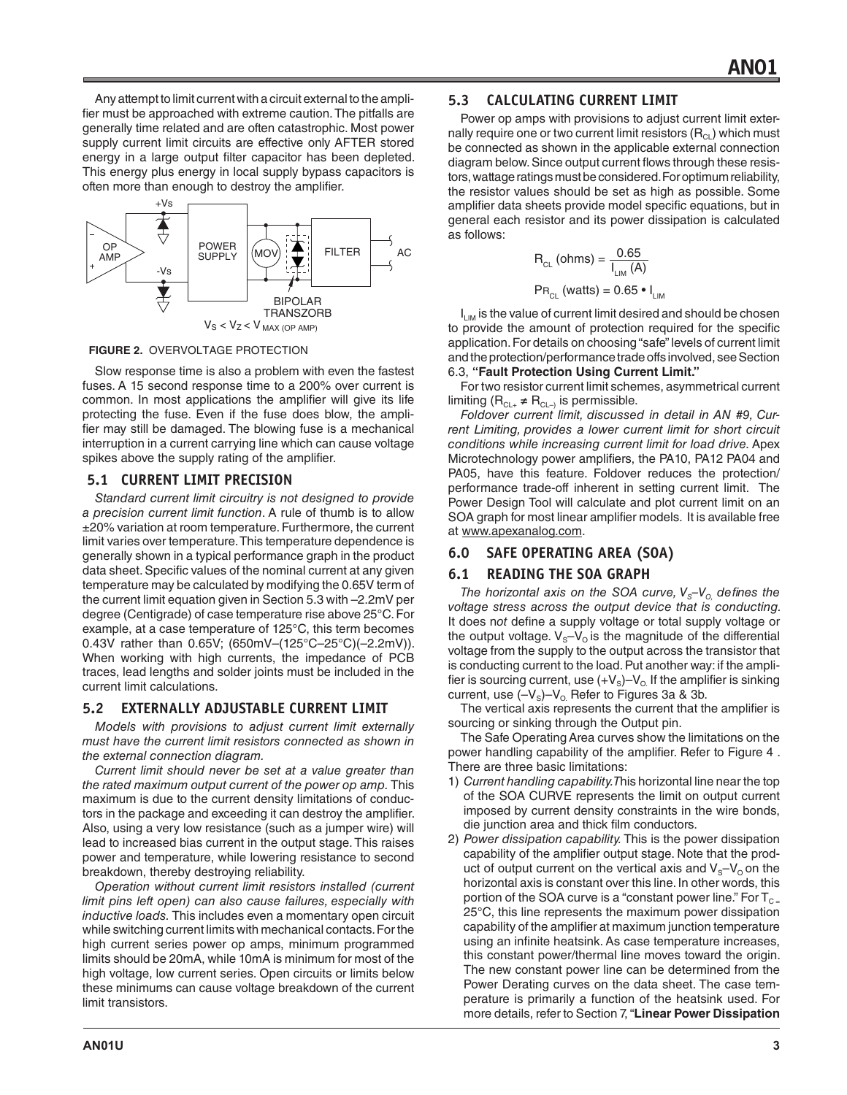Any attempt to limit current with a circuit external to the amplifier must be approached with extreme caution. The pitfalls are generally time related and are often catastrophic. Most power supply current limit circuits are effective only AFTER stored energy in a large output filter capacitor has been depleted. This energy plus energy in local supply bypass capacitors is often more than enough to destroy the amplifier.



**FIGURE 2.** OVERVOLTAGE PROTECTION

Slow response time is also a problem with even the fastest fuses. A 15 second response time to a 200% over current is common. In most applications the amplifier will give its life protecting the fuse. Even if the fuse does blow, the amplifier may still be damaged. The blowing fuse is a mechanical interruption in a current carrying line which can cause voltage spikes above the supply rating of the amplifier.

## **5.1 CURRENT LIMIT PRECISION**

*Standard current limit circuitry is not designed to provide a precision current limit function*. A rule of thumb is to allow ±20% variation at room temperature. Furthermore, the current limit varies over temperature. This temperature dependence is generally shown in a typical performance graph in the product data sheet. Specific values of the nominal current at any given temperature may be calculated by modifying the 0.65V term of the current limit equation given in Section 5.3 with –2.2mV per degree (Centigrade) of case temperature rise above 25°C. For example, at a case temperature of 125°C, this term becomes 0.43V rather than 0.65V; (650mV–(125°C–25°C)(–2.2mV)). When working with high currents, the impedance of PCB traces, lead lengths and solder joints must be included in the current limit calculations.

## **5.2 EXTERNALLY ADJUSTABLE CURRENT LIMIT**

*Models with provisions to adjust current limit externally must have the current limit resistors connected as shown in the external connection diagram.* 

*Current limit should never be set at a value greater than the rated maximum output current of the power op amp.* This maximum is due to the current density limitations of conductors in the package and exceeding it can destroy the amplifier. Also, using a very low resistance (such as a jumper wire) will lead to increased bias current in the output stage. This raises power and temperature, while lowering resistance to second breakdown, thereby destroying reliability.

*Operation without current limit resistors installed (current limit pins left open) can also cause failures, especially with inductive loads.* This includes even a momentary open circuit while switching current limits with mechanical contacts. For the high current series power op amps, minimum programmed limits should be 20mA, while 10mA is minimum for most of the high voltage, low current series. Open circuits or limits below these minimums can cause voltage breakdown of the current limit transistors.

### **5.3 CALCULATING CURRENT LIMIT**

Power op amps with provisions to adjust current limit externally require one or two current limit resistors  $(R<sub>CI</sub>)$  which must be connected as shown in the applicable external connection diagram below. Since output current flows through these resistors, wattage ratings must be considered. For optimum reliability, the resistor values should be set as high as possible. Some amplifier data sheets provide model specific equations, but in general each resistor and its power dissipation is calculated as follows:

$$
R_{CL} \text{(ohms)} = \frac{0.65}{I_{LIM} \text{(A)}}
$$

$$
PR_{CL} \text{(watts)} = 0.65 \cdot I_{LIM}
$$

 $I_{LM}$  is the value of current limit desired and should be chosen to provide the amount of protection required for the specific application. For details on choosing "safe" levels of current limit and the protection/performance trade offs involved, see Section 6.3, **"Fault Protection Using Current Limit."** 

For two resistor current limit schemes, asymmetrical current limiting  $(R_{CL+} \neq R_{CL-)}$  is permissible.

*Foldover current limit, discussed in detail in AN #9, Current Limiting, provides a lower current limit for short circuit conditions while increasing current limit for load drive.* Apex Microtechnology power amplifiers, the PA10, PA12 PA04 and PA05, have this feature. Foldover reduces the protection/ performance trade-off inherent in setting current limit. The Power Design Tool will calculate and plot current limit on an SOA graph for most linear amplifier models. It is available free at www.apexanalog.com.

## **6.0 SAFE OPERATING AREA (SOA)**

## **6.1 READING THE SOA GRAPH**

*The horizontal axis on the SOA curve,*  $V_s$ – $V_o$  defines the *voltage stress across the output device that is conducting.*  It does n*ot* define a supply voltage or total supply voltage or the output voltage.  $V_s - V_o$  is the magnitude of the differential voltage from the supply to the output across the transistor that is conducting current to the load. Put another way: if the amplifier is sourcing current, use  $(+\mathsf{V}_\mathrm{s})\text{--}\mathsf{V}_\mathrm{o}$  If the amplifier is sinking current, use  $(-\mathsf{V}_\mathrm{s})\text{--}\mathsf{V}_\mathrm{o}$  Refer to Figures 3a & 3b.

The vertical axis represents the current that the amplifier is sourcing or sinking through the Output pin.

The Safe Operating Area curves show the limitations on the power handling capability of the amplifier. Refer to Figure 4 . There are three basic limitations:

- 1) *Current handling capability. T*his horizontal line near the top of the SOA CURVE represents the limit on output current imposed by current density constraints in the wire bonds, die junction area and thick film conductors.
- 2) *Power dissipation capability.* This is the power dissipation capability of the amplifier output stage. Note that the product of output current on the vertical axis and  $V_s-V_0$  on the horizontal axis is constant over this line. In other words, this portion of the SOA curve is a "constant power line." For  $T_{C}$ 25°C, this line represents the maximum power dissipation capability of the amplifier at maximum junction temperature using an infinite heatsink. As case temperature increases, this constant power/thermal line moves toward the origin. The new constant power line can be determined from the Power Derating curves on the data sheet. The case temperature is primarily a function of the heatsink used. For more details, refer to Section 7, "**Linear Power Dissipation**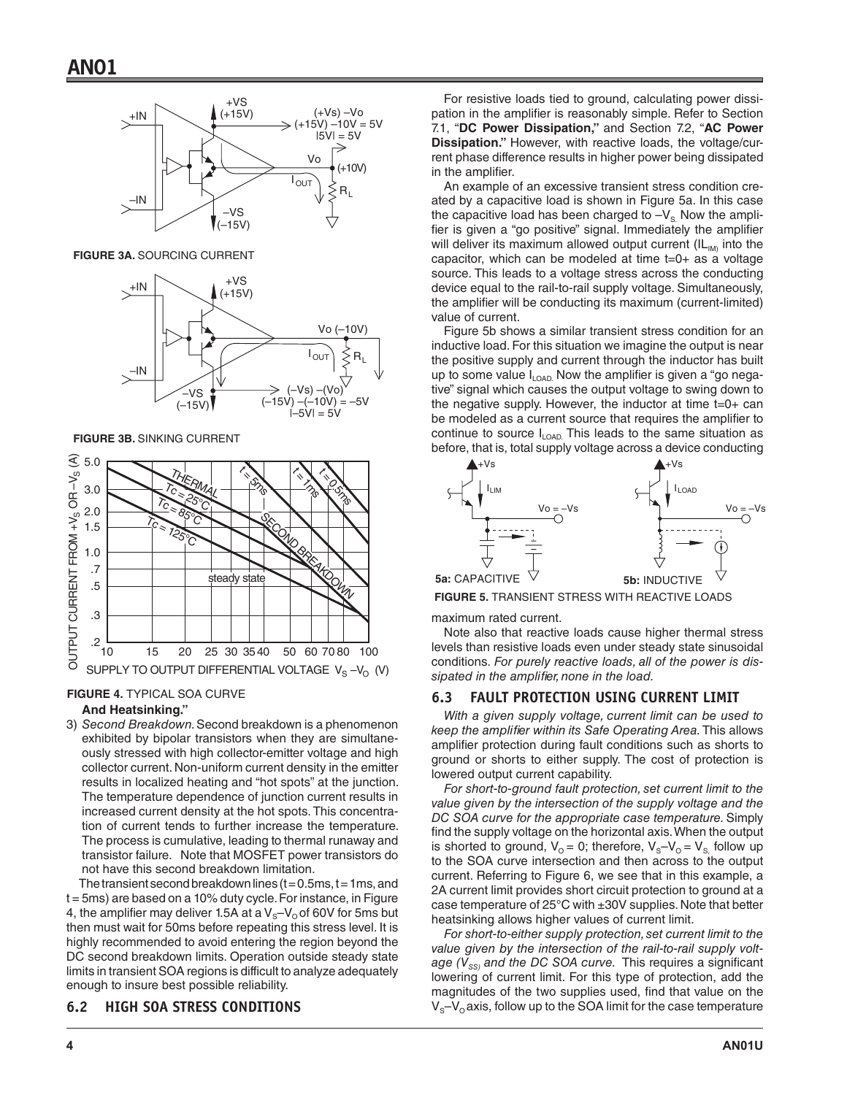

**FIGURE 3A.** SOURCING CURRENT



**FIGURE 3B.** SINKING CURRENT



#### **FIGURE 4.** TYPICAL SOA CURVE

#### **And Heatsinking."**

3) *Second Breakdown.* Second breakdown is a phenomenon exhibited by bipolar transistors when they are simultaneously stressed with high collector-emitter voltage and high collector current. Non-uniform current density in the emitter results in localized heating and "hot spots" at the junction. The temperature dependence of junction current results in increased current density at the hot spots. This concentration of current tends to further increase the temperature. The process is cumulative, leading to thermal runaway and transistor failure. Note that MOSFET power transistors do not have this second breakdown limitation.

The transient second breakdown lines ( $t = 0.5$ ms,  $t = 1$ ms, and t = 5ms) are based on a 10% duty cycle. For instance, in Figure 4, the amplifier may deliver 1.5A at a  $V_s-V_o$  of 60V for 5ms but then must wait for 50ms before repeating this stress level. It is highly recommended to avoid entering the region beyond the DC second breakdown limits. Operation outside steady state limits in transient SOA regions is difficult to analyze adequately enough to insure best possible reliability.

## **6.2 HIGH SOA STRESS CONDITIONS**

For resistive loads tied to ground, calculating power dissipation in the amplifier is reasonably simple. Refer to Section 7.1, "**DC Power Dissipation,"** and Section 7.2, "**AC Power Dissipation."** However, with reactive loads, the voltage/current phase difference results in higher power being dissipated in the amplifier.

An example of an excessive transient stress condition created by a capacitive load is shown in Figure 5a. In this case the capacitive load has been charged to  $-\mathsf{V}_\mathrm{s}$  Now the amplifier is given a "go positive" signal. Immediately the amplifier will deliver its maximum allowed output current  $(IL_{IM})$  into the capacitor, which can be modeled at time t=0+ as a voltage source. This leads to a voltage stress across the conducting device equal to the rail-to-rail supply voltage. Simultaneously, the amplifier will be conducting its maximum (current-limited) value of current.

Figure 5b shows a similar transient stress condition for an inductive load. For this situation we imagine the output is near the positive supply and current through the inductor has built up to some value  $I_{\text{LOAD}}$ . Now the amplifier is given a "go negative" signal which causes the output voltage to swing down to the negative supply. However, the inductor at time  $t=0+$  can be modeled as a current source that requires the amplifier to continue to source  $I_{\text{LOAD}}$ . This leads to the same situation as before, that is, total supply voltage across a device conducting



**FIGURE 5.** TRANSIENT STRESS WITH REACTIVE LOADS

maximum rated current.

Note also that reactive loads cause higher thermal stress levels than resistive loads even under steady state sinusoidal conditions. *For purely reactive loads, all of the power is dissipated in the amplifier, none in the load.* 

#### **6.3 FAULT PROTECTION USING CURRENT LIMIT**

*With a given supply voltage, current limit can be used to keep the amplifier within its Safe Operating Area.* This allows amplifier protection during fault conditions such as shorts to ground or shorts to either supply. The cost of protection is lowered output current capability.

*For short-to-ground fault protection, set current limit to the value given by the intersection of the supply voltage and the DC SOA curve for the appropriate case temperature.* Simply find the supply voltage on the horizontal axis. When the output is shorted to ground,  $V_{\rm O}$  = 0; therefore,  $V_{\rm S}-V_{\rm O}$  =  $V_{\rm S}$ , follow up to the SOA curve intersection and then across to the output current. Referring to Figure 6, we see that in this example, a 2A current limit provides short circuit protection to ground at a case temperature of 25°C with ±30V supplies. Note that better heatsinking allows higher values of current limit.

*For short-to-either supply protection, set current limit to the value given by the intersection of the rail-to-rail supply voltage (V<sub>SS)</sub> and the DC SOA curve.* This requires a significant lowering of current limit. For this type of protection, add the magnitudes of the two supplies used, find that value on the  $V_s$ – $V_o$  axis, follow up to the SOA limit for the case temperature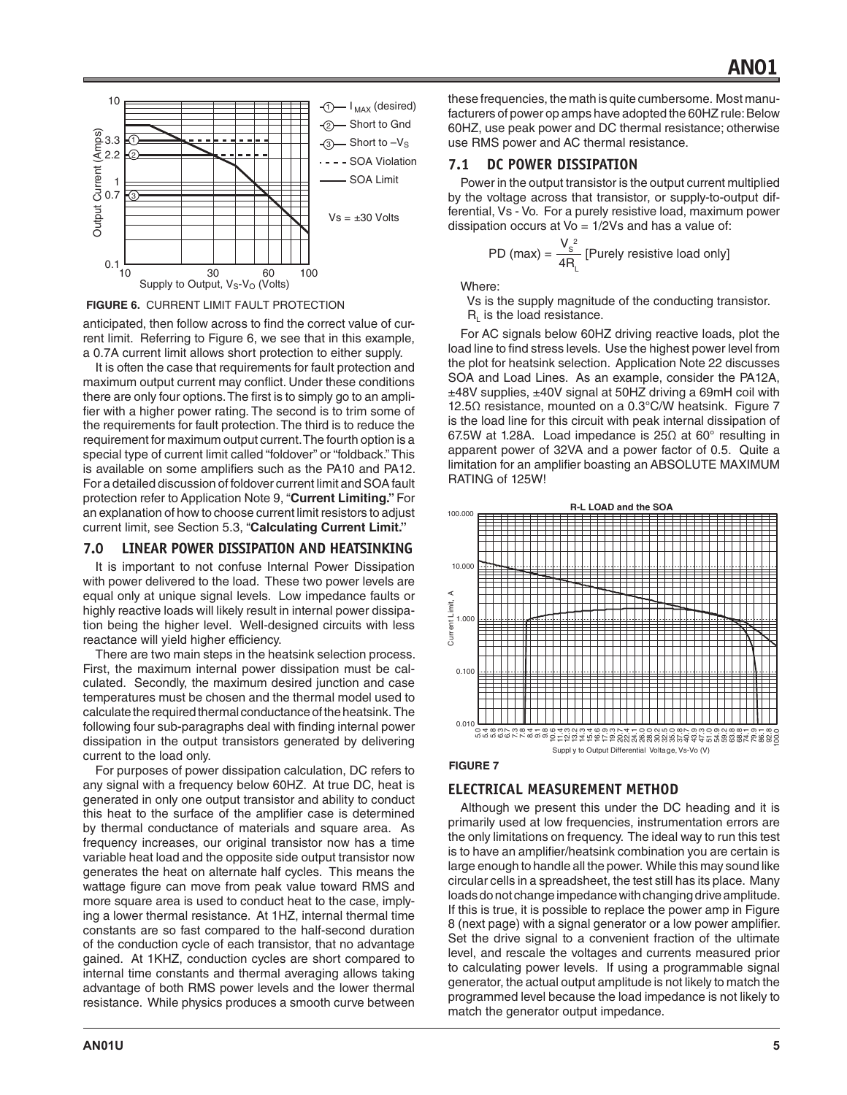

**FIGURE 6.** CURRENT LIMIT FAULT PROTECTION

anticipated, then follow across to find the correct value of current limit. Referring to Figure 6, we see that in this example, a 0.7A current limit allows short protection to either supply.

It is often the case that requirements for fault protection and maximum output current may conflict. Under these conditions there are only four options. The first is to simply go to an amplifier with a higher power rating. The second is to trim some of the requirements for fault protection. The third is to reduce the requirement for maximum output current. The fourth option is a special type of current limit called "foldover" or "foldback." This is available on some amplifiers such as the PA10 and PA12. For a detailed discussion of foldover current limit and SOA fault protection refer to Application Note 9, "**Current Limiting."** For an explanation of how to choose current limit resistors to adjust current limit, see Section 5.3, "**Calculating Current Limit."**

## **7.0 LINEAR POWER DISSIPATION AND HEATSINKING**

It is important to not confuse Internal Power Dissipation with power delivered to the load. These two power levels are equal only at unique signal levels. Low impedance faults or highly reactive loads will likely result in internal power dissipation being the higher level. Well-designed circuits with less reactance will yield higher efficiency.

There are two main steps in the heatsink selection process. First, the maximum internal power dissipation must be calculated. Secondly, the maximum desired junction and case temperatures must be chosen and the thermal model used to calculate the required thermal conductance of the heatsink. The following four sub-paragraphs deal with finding internal power dissipation in the output transistors generated by delivering current to the load only.

For purposes of power dissipation calculation, DC refers to any signal with a frequency below 60HZ. At true DC, heat is generated in only one output transistor and ability to conduct this heat to the surface of the amplifier case is determined by thermal conductance of materials and square area. As frequency increases, our original transistor now has a time variable heat load and the opposite side output transistor now generates the heat on alternate half cycles. This means the wattage figure can move from peak value toward RMS and more square area is used to conduct heat to the case, implying a lower thermal resistance. At 1HZ, internal thermal time constants are so fast compared to the half-second duration of the conduction cycle of each transistor, that no advantage gained. At 1KHZ, conduction cycles are short compared to internal time constants and thermal averaging allows taking advantage of both RMS power levels and the lower thermal resistance. While physics produces a smooth curve between

these frequencies, the math is quite cumbersome. Most manufacturers of power op amps have adopted the 60HZ rule: Below 60HZ, use peak power and DC thermal resistance; otherwise use RMS power and AC thermal resistance.

## **7.1 DC POWER DISSIPATION**

Power in the output transistor is the output current multiplied by the voltage across that transistor, or supply-to-output differential, Vs - Vo. For a purely resistive load, maximum power dissipation occurs at  $Vo = 1/2Vs$  and has a value of:

PD (max) = 
$$
\frac{V_s^2}{4R_L}
$$
 [Purely resistive load only]

Where:

 Vs is the supply magnitude of the conducting transistor.  $R<sub>i</sub>$  is the load resistance.

For AC signals below 60HZ driving reactive loads, plot the load line to find stress levels. Use the highest power level from the plot for heatsink selection. Application Note 22 discusses SOA and Load Lines. As an example, consider the PA12A, ±48V supplies, ±40V signal at 50HZ driving a 69mH coil with 12.5Ω resistance, mounted on a 0.3°C/W heatsink. Figure 7 is the load line for this circuit with peak internal dissipation of 67.5W at 1.28A. Load impedance is 25Ω at 60° resulting in apparent power of 32VA and a power factor of 0.5. Quite a limitation for an amplifier boasting an ABSOLUTE MAXIMUM RATING of 125W!



#### **FIGURE 7**

## **ELECTRICAL MEASUREMENT METHOD**

Although we present this under the DC heading and it is primarily used at low frequencies, instrumentation errors are the only limitations on frequency. The ideal way to run this test is to have an amplifier/heatsink combination you are certain is large enough to handle all the power. While this may sound like circular cells in a spreadsheet, the test still has its place. Many loads do not change impedance with changing drive amplitude. If this is true, it is possible to replace the power amp in Figure 8 (next page) with a signal generator or a low power amplifier. Set the drive signal to a convenient fraction of the ultimate level, and rescale the voltages and currents measured prior to calculating power levels. If using a programmable signal generator, the actual output amplitude is not likely to match the programmed level because the load impedance is not likely to match the generator output impedance.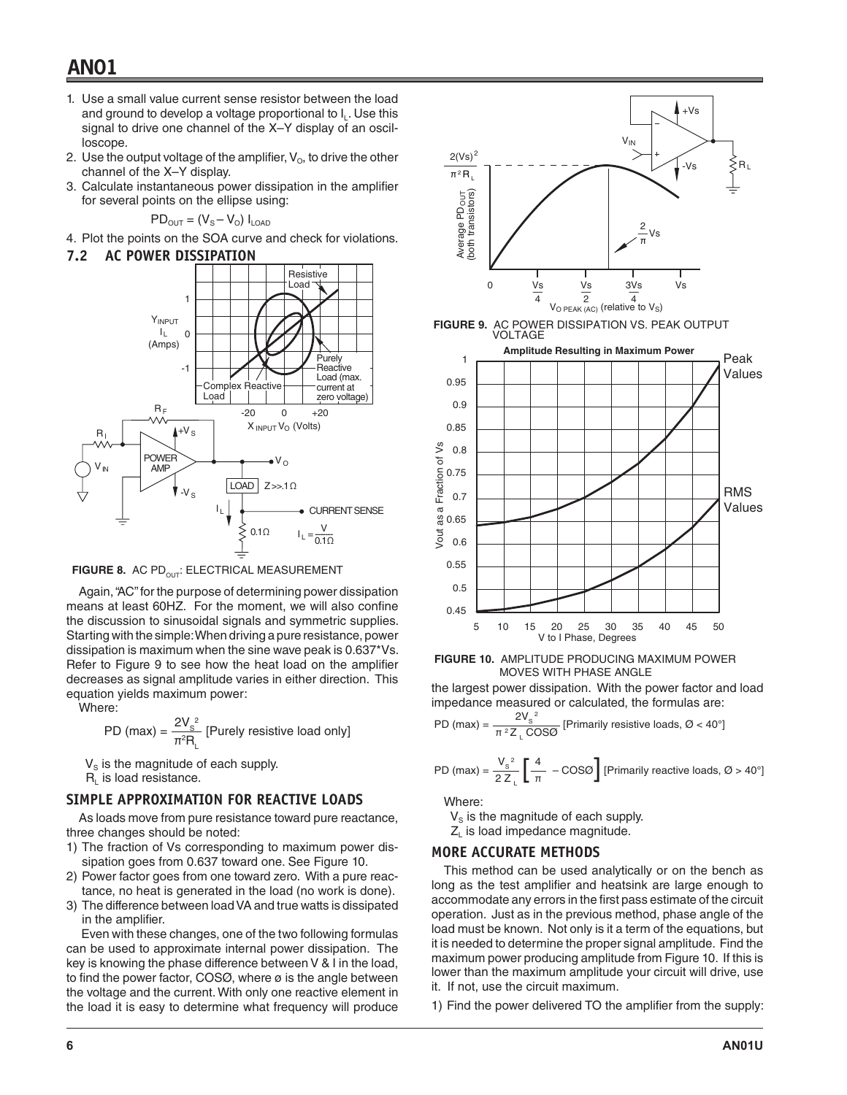## **AN01**

- 1. Use a small value current sense resistor between the load and ground to develop a voltage proportional to  $I_L$ . Use this signal to drive one channel of the X–Y display of an oscilloscope.
- 2. Use the output voltage of the amplifier,  $V<sub>O</sub>$ , to drive the other channel of the X–Y display.
- 3. Calculate instantaneous power dissipation in the amplifier for several points on the ellipse using:

$$
PD_{\text{OUT}} = (V_{\text{S}} - V_{\text{O}}) I_{\text{LOAD}}
$$

4. Plot the points on the SOA curve and check for violations.

#### **7.2 AC POWER DISSIPATION**



FIGURE 8. AC PD<sub>OUT</sub>: ELECTRICAL MEASUREMENT

Again, "AC" for the purpose of determining power dissipation means at least 60HZ. For the moment, we will also confine the discussion to sinusoidal signals and symmetric supplies. Starting with the simple: When driving a pure resistance, power dissipation is maximum when the sine wave peak is 0.637\*Vs. Refer to Figure 9 to see how the heat load on the amplifier decreases as signal amplitude varies in either direction. This equation yields maximum power:

Where:

PD (max) = 
$$
\frac{2V_s^2}{\pi^2 R_L}
$$
 [Purely resistive load only]

 $V<sub>S</sub>$  is the magnitude of each supply.

 $R_i$  is load resistance.

#### **SIMPLE APPROXIMATION FOR REACTIVE LOADS**

As loads move from pure resistance toward pure reactance, three changes should be noted:

- 1) The fraction of Vs corresponding to maximum power dissipation goes from 0.637 toward one. See Figure 10.
- 2) Power factor goes from one toward zero. With a pure reactance, no heat is generated in the load (no work is done).
- 3) The difference between load VA and true watts is dissipated in the amplifier.

 Even with these changes, one of the two following formulas can be used to approximate internal power dissipation. The key is knowing the phase difference between V & I in the load, to find the power factor,  $COSØ$ , where  $\varnothing$  is the angle between the voltage and the current. With only one reactive element in the load it is easy to determine what frequency will produce



**FIGURE 10.** AMPLITUDE PRODUCING MAXIMUM POWER MOVES WITH PHASE ANGLE

the largest power dissipation. With the power factor and load impedance measured or calculated, the formulas are:

PD (max) = 
$$
\frac{2V_s^2}{\pi^2 Z_L \cos\theta}
$$
 [Primary resistive loads,  $\emptyset$  < 40°]

PD (max) = 
$$
\frac{V_s^2}{2 Z_L} \left[ \frac{4}{\pi} - \text{COS}\varnothing \right]
$$
 [Primary reactive loads,  $\varnothing > 40^\circ$ ]

Where:

 $V<sub>s</sub>$  is the magnitude of each supply.

Z<sub>i</sub> is load impedance magnitude.

#### **MORE ACCURATE METHODS**

This method can be used analytically or on the bench as long as the test amplifier and heatsink are large enough to accommodate any errors in the first pass estimate of the circuit operation. Just as in the previous method, phase angle of the load must be known. Not only is it a term of the equations, but it is needed to determine the proper signal amplitude. Find the maximum power producing amplitude from Figure 10. If this is lower than the maximum amplitude your circuit will drive, use it. If not, use the circuit maximum.

1) Find the power delivered TO the amplifier from the supply: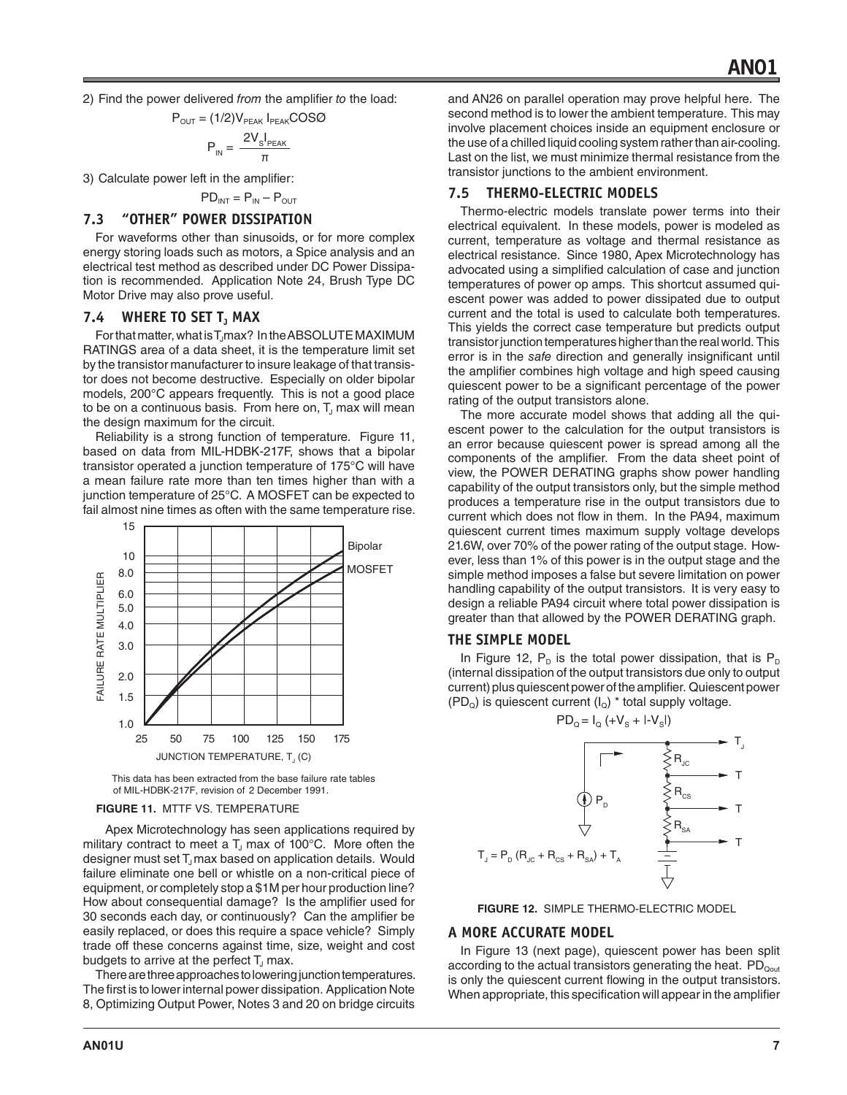2) Find the power delivered *from* the amplifier *to* the load:

$$
P_{\text{OUT}} = (1/2)V_{\text{PEAK}} I_{\text{PEAK}} COSO
$$

$$
P_{IN} = \frac{2V_{S}I_{PEAK}}{\pi}
$$

3) Calculate power left in the amplifier:

$$
PD_{INT} = P_{IN} - P_{OUT}
$$

## **7.3 "OTHER" POWER DISSIPATION**

For waveforms other than sinusoids, or for more complex energy storing loads such as motors, a Spice analysis and an electrical test method as described under DC Power Dissipation is recommended. Application Note 24, Brush Type DC Motor Drive may also prove useful.

#### **7.4 WHERE TO SET T<sub>J</sub> MAX**

For that matter, what is T<sub>J</sub>max? In the ABSOLUTE MAXIMUM RATINGS area of a data sheet, it is the temperature limit set by the transistor manufacturer to insure leakage of that transistor does not become destructive. Especially on older bipolar models, 200°C appears frequently. This is not a good place to be on a continuous basis. From here on,  $T<sub>J</sub>$  max will mean the design maximum for the circuit.

Reliability is a strong function of temperature. Figure 11, based on data from MIL-HDBK-217F, shows that a bipolar transistor operated a junction temperature of 175°C will have a mean failure rate more than ten times higher than with a junction temperature of 25°C. A MOSFET can be expected to fail almost nine times as often with the same temperature rise.



This data has been extracted from the base failure rate tables of MIL-HDBK-217F, revision of 2 December 1991.

#### **FIGURE 11.** MTTF VS. TEMPERATURE

 Apex Microtechnology has seen applications required by military contract to meet a  $T_J$  max of 100°C. More often the designer must set T<sub>J</sub> max based on application details. Would failure eliminate one bell or whistle on a non-critical piece of equipment, or completely stop a \$1M per hour production line? How about consequential damage? Is the amplifier used for 30 seconds each day, or continuously? Can the amplifier be easily replaced, or does this require a space vehicle? Simply trade off these concerns against time, size, weight and cost budgets to arrive at the perfect  $T_1$  max.

There are three approaches to lowering junction temperatures. The first is to lower internal power dissipation. Application Note 8, Optimizing Output Power, Notes 3 and 20 on bridge circuits

and AN26 on parallel operation may prove helpful here. The second method is to lower the ambient temperature. This may involve placement choices inside an equipment enclosure or the use of a chilled liquid cooling system rather than air-cooling. Last on the list, we must minimize thermal resistance from the transistor junctions to the ambient environment.

#### **7.5 THERMO-ELECTRIC MODELS**

Thermo-electric models translate power terms into their electrical equivalent. In these models, power is modeled as current, temperature as voltage and thermal resistance as electrical resistance. Since 1980, Apex Microtechnology has advocated using a simplified calculation of case and junction temperatures of power op amps. This shortcut assumed quiescent power was added to power dissipated due to output current and the total is used to calculate both temperatures. This yields the correct case temperature but predicts output transistor junction temperatures higher than the real world. This error is in the *safe* direction and generally insignificant until the amplifier combines high voltage and high speed causing quiescent power to be a significant percentage of the power rating of the output transistors alone.

The more accurate model shows that adding all the quiescent power to the calculation for the output transistors is an error because quiescent power is spread among all the components of the amplifier. From the data sheet point of view, the POWER DERATING graphs show power handling capability of the output transistors only, but the simple method produces a temperature rise in the output transistors due to current which does not flow in them. In the PA94, maximum quiescent current times maximum supply voltage develops 21.6W, over 70% of the power rating of the output stage. However, less than 1% of this power is in the output stage and the simple method imposes a false but severe limitation on power handling capability of the output transistors. It is very easy to design a reliable PA94 circuit where total power dissipation is greater than that allowed by the POWER DERATING graph.

#### **THE SIMPLE MODEL**

In Figure 12,  $P_D$  is the total power dissipation, that is  $P_D$ (internal dissipation of the output transistors due only to output current) plus quiescent power of the amplifier. Quiescent power  $(PD<sub>Q</sub>)$  is quiescent current  $(I<sub>Q</sub>)$  \* total supply voltage.

$$
PD_{Q} = I_{Q} (+V_{S} + I-V_{S})
$$



**FIGURE 12.** SIMPLE THERMO-ELECTRIC MODEL

#### **A MORE ACCURATE MODEL**

In Figure 13 (next page), quiescent power has been split according to the actual transistors generating the heat.  $PD_{\text{qout}}$ is only the quiescent current flowing in the output transistors. When appropriate, this specification will appear in the amplifier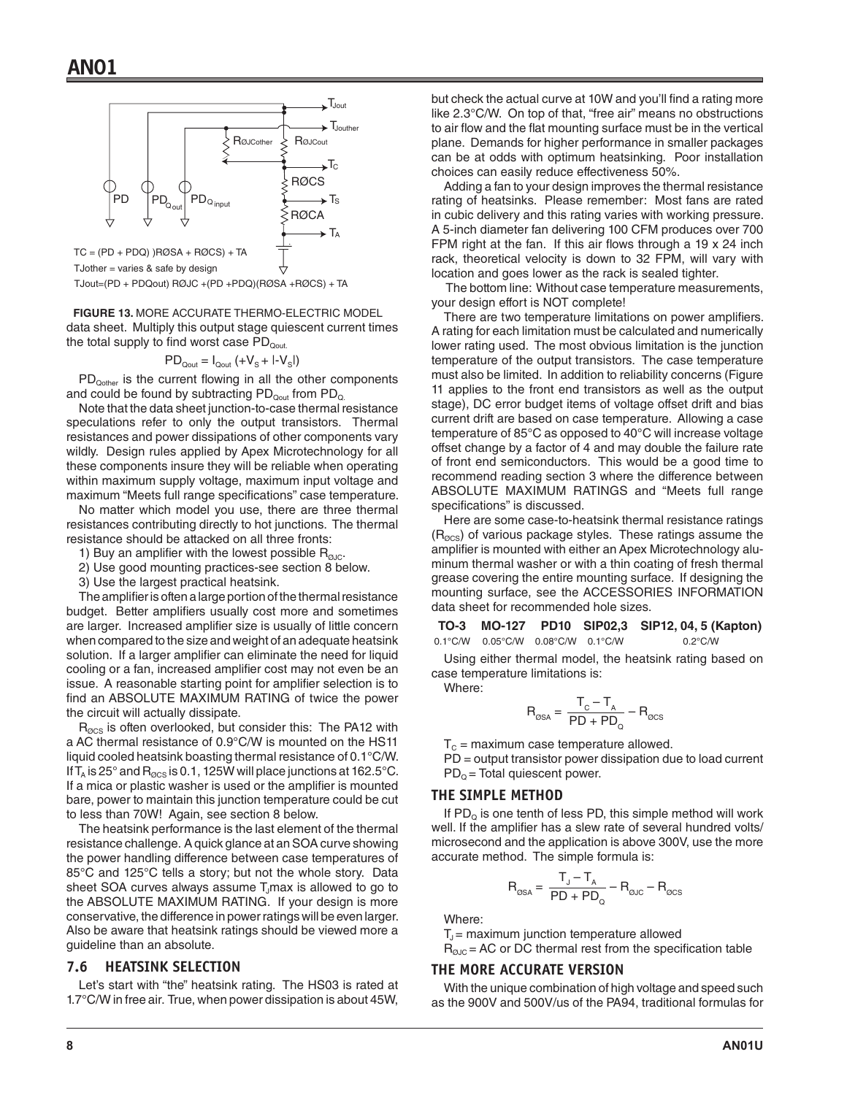

TJout=(PD + PDQout) RØJC +(PD +PDQ)(RØSA +RØCS) + TA

data sheet. Multiply this output stage quiescent current times the total supply to find worst case  $PD_{\text{Quut.}}$ **FIGURE 13.** MORE ACCURATE THERMO-ELECTRIC MODEL

$$
PD_{\text{Quut}} = I_{\text{Quut}} (+V_{\text{S}} + I - V_{\text{S}}I)
$$

PD<sub>Qother</sub> is the current flowing in all the other components and could be found by subtracting  $PD_{\text{Quut}}$  from  $PD_{\text{Q}}$ .

Note that the data sheet junction-to-case thermal resistance speculations refer to only the output transistors. Thermal resistances and power dissipations of other components vary wildly. Design rules applied by Apex Microtechnology for all these components insure they will be reliable when operating within maximum supply voltage, maximum input voltage and maximum "Meets full range specifications" case temperature.

No matter which model you use, there are three thermal resistances contributing directly to hot junctions. The thermal resistance should be attacked on all three fronts:

- 1) Buy an amplifier with the lowest possible  $R_{\text{guc}}$ .
- 2) Use good mounting practices-see section 8 below.

3) Use the largest practical heatsink.

The amplifier is often a large portion of the thermal resistance budget. Better amplifiers usually cost more and sometimes are larger. Increased amplifier size is usually of little concern when compared to the size and weight of an adequate heatsink solution. If a larger amplifier can eliminate the need for liquid cooling or a fan, increased amplifier cost may not even be an issue. A reasonable starting point for amplifier selection is to find an ABSOLUTE MAXIMUM RATING of twice the power the circuit will actually dissipate.

 $R_{\text{QCS}}$  is often overlooked, but consider this: The PA12 with a AC thermal resistance of 0.9°C/W is mounted on the HS11 liquid cooled heatsink boasting thermal resistance of 0.1°C/W. If T<sub>A</sub> is 25° and R<sub>ØCS</sub> is 0.1, 125W will place junctions at 162.5°C. If a mica or plastic washer is used or the amplifier is mounted bare, power to maintain this junction temperature could be cut to less than 70W! Again, see section 8 below.

The heatsink performance is the last element of the thermal resistance challenge. A quick glance at an SOA curve showing the power handling difference between case temperatures of 85°C and 125°C tells a story; but not the whole story. Data sheet SOA curves always assume T<sub>J</sub>max is allowed to go to the ABSOLUTE MAXIMUM RATING. If your design is more conservative, the difference in power ratings will be even larger. Also be aware that heatsink ratings should be viewed more a guideline than an absolute.

#### **7.6 HEATSINK SELECTION**

Let's start with "the" heatsink rating. The HS03 is rated at 1.7°C/W in free air. True, when power dissipation is about 45W,

but check the actual curve at 10W and you'll find a rating more like 2.3°C/W. On top of that, "free air" means no obstructions to air flow and the flat mounting surface must be in the vertical plane. Demands for higher performance in smaller packages can be at odds with optimum heatsinking. Poor installation choices can easily reduce effectiveness 50%.

Adding a fan to your design improves the thermal resistance rating of heatsinks. Please remember: Most fans are rated in cubic delivery and this rating varies with working pressure. A 5-inch diameter fan delivering 100 CFM produces over 700 FPM right at the fan. If this air flows through a 19 x 24 inch rack, theoretical velocity is down to 32 FPM, will vary with location and goes lower as the rack is sealed tighter.

 The bottom line: Without case temperature measurements, your design effort is NOT complete!

There are two temperature limitations on power amplifiers. A rating for each limitation must be calculated and numerically lower rating used. The most obvious limitation is the junction temperature of the output transistors. The case temperature must also be limited. In addition to reliability concerns (Figure 11 applies to the front end transistors as well as the output stage), DC error budget items of voltage offset drift and bias current drift are based on case temperature. Allowing a case temperature of 85°C as opposed to 40°C will increase voltage offset change by a factor of 4 and may double the failure rate of front end semiconductors. This would be a good time to recommend reading section 3 where the difference between ABSOLUTE MAXIMUM RATINGS and "Meets full range specifications" is discussed.

Here are some case-to-heatsink thermal resistance ratings  $(R_{\text{QCS}})$  of various package styles. These ratings assume the amplifier is mounted with either an Apex Microtechnology aluminum thermal washer or with a thin coating of fresh thermal grease covering the entire mounting surface. If designing the mounting surface, see the ACCESSORIES INFORMATION data sheet for recommended hole sizes.

**TO-3 MO-127 PD10 SIP02,3 SIP12, 04, 5 (Kapton)** 0.1°C/W 0.05°C/W 0.08°C/W 0.1°C/W 0.2°C/W

Using either thermal model, the heatsink rating based on case temperature limitations is:

Where:

$$
R_{\text{QSA}} = \frac{T_{\text{C}} - T_{\text{A}}}{PD + PD_{\text{Q}}} - R_{\text{QCS}}
$$

 $T_c$  = maximum case temperature allowed.

PD = output transistor power dissipation due to load current  $PD<sub>o</sub>$  = Total quiescent power.

#### **THE SIMPLE METHOD**

If  $PD_{\Omega}$  is one tenth of less PD, this simple method will work well. If the amplifier has a slew rate of several hundred volts/ microsecond and the application is above 300V, use the more accurate method. The simple formula is:

$$
R_{\text{QSA}} = \frac{T_{J} - T_{A}}{PD + PD_{Q}} - R_{\text{QJC}} - R_{\text{QCS}}
$$

Where:

 $T<sub>J</sub>$  = maximum junction temperature allowed

 $R<sub>QJC</sub> = AC$  or DC thermal rest from the specification table

#### **THE MORE ACCURATE VERSION**

With the unique combination of high voltage and speed such as the 900V and 500V/us of the PA94, traditional formulas for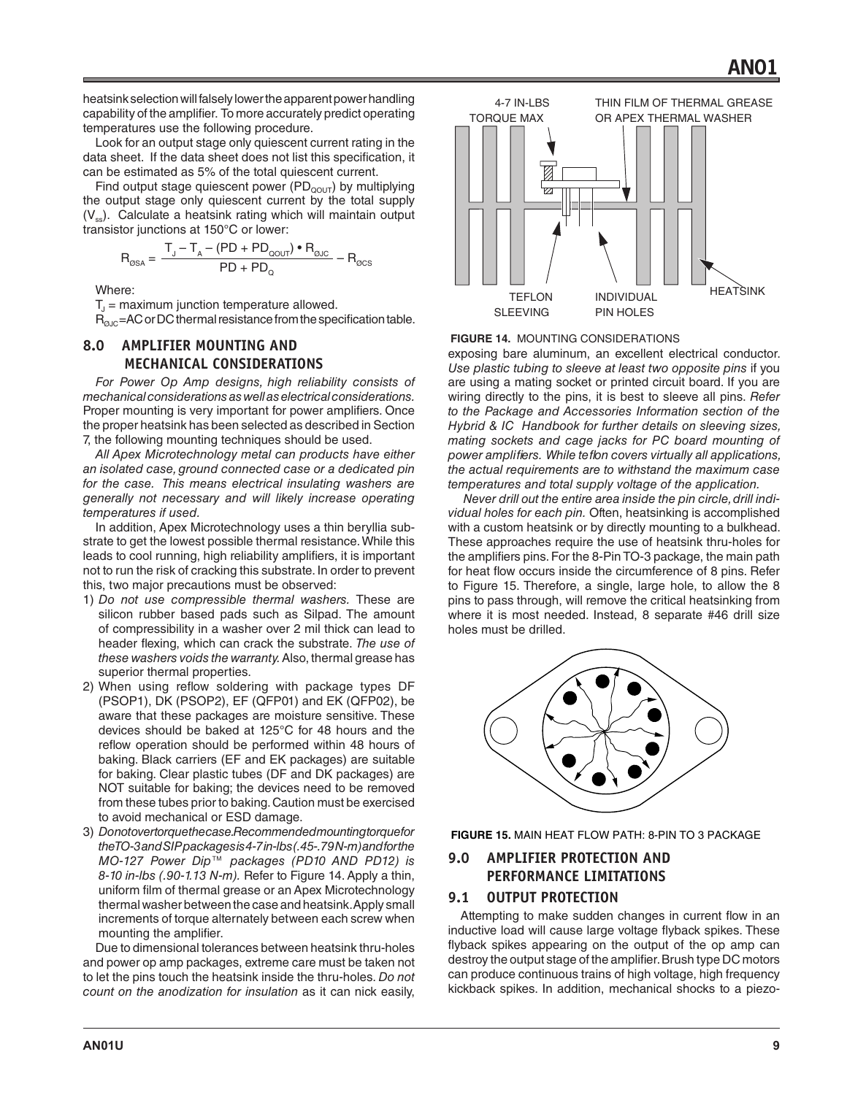heatsink selection will falsely lower the apparent power handling capability of the amplifier. To more accurately predict operating temperatures use the following procedure.

Look for an output stage only quiescent current rating in the data sheet. If the data sheet does not list this specification, it can be estimated as 5% of the total quiescent current.

Find output stage quiescent power ( $PD_{\text{QUT}}$ ) by multiplying the output stage only quiescent current by the total supply  $(V_{ss})$ . Calculate a heatsink rating which will maintain output transistor junctions at 150°C or lower:

$$
R_{\text{OSA}} = \frac{T_{J} - T_{A} - (PD + PD_{\text{QOUT}}) \cdot R_{\text{QJC}}}{PD + PD_{Q}} - R_{\text{QCS}}
$$

Where:

 $T<sub>u</sub>$  = maximum junction temperature allowed.

 $R_{\alpha_{\text{IC}}}$ =AC or DC thermal resistance from the specification table.

## **8.0 AMPLIFIER MOUNTING AND MECHANICAL CONSIDERATIONS**

*For Power Op Amp designs, high reliability consists of mechanical considerations as well as electrical considerations.* Proper mounting is very important for power amplifiers. Once the proper heatsink has been selected as described in Section 7, the following mounting techniques should be used.

*All Apex Microtechnology metal can products have either an isolated case, ground connected case or a dedicated pin for the case. This means electrical insulating washers are generally not necessary and will likely increase operating temperatures if used.*

In addition, Apex Microtechnology uses a thin beryllia substrate to get the lowest possible thermal resistance. While this leads to cool running, high reliability amplifiers, it is important not to run the risk of cracking this substrate. In order to prevent this, two major precautions must be observed:

- 1) *Do not use compressible thermal washers.* These are silicon rubber based pads such as Silpad. The amount of compressibility in a washer over 2 mil thick can lead to header flexing, which can crack the substrate. *The use of these washers voids the warranty.* Also, thermal grease has superior thermal properties.
- 2) When using reflow soldering with package types DF (PSOP1), DK (PSOP2), EF (QFP01) and EK (QFP02), be aware that these packages are moisture sensitive. These devices should be baked at 125°C for 48 hours and the reflow operation should be performed within 48 hours of baking. Black carriers (EF and EK packages) are suitable for baking. Clear plastic tubes (DF and DK packages) are NOT suitable for baking; the devices need to be removed from these tubes prior to baking. Caution must be exercised to avoid mechanical or ESD damage.
- 3) *Do not over torque the case. Recommended mounting torque for the TO-3 and SIP packages is 4-7 in-lbs (.45-.79 N-m) and for the MO-127 Power Dip™ packages (PD10 AND PD12) is 8-10 in-lbs (.90-1.13 N-m).* Refer to Figure 14. Apply a thin, uniform film of thermal grease or an Apex Microtechnology thermal washer between the case and heatsink. Apply small increments of torque alternately between each screw when mounting the amplifier.

Due to dimensional tolerances between heatsink thru-holes and power op amp packages, extreme care must be taken not to let the pins touch the heatsink inside the thru-holes. *Do not count on the anodization for insulation* as it can nick easily,



#### **FIGURE 14.** MOUNTING CONSIDERATIONS

exposing bare aluminum, an excellent electrical conductor. *Use plastic tubing to sleeve at least two opposite pins* if you are using a mating socket or printed circuit board. If you are wiring directly to the pins, it is best to sleeve all pins. *Refer to the Package and Accessories Information section of the Hybrid & IC Handbook for further details on sleeving sizes, mating sockets and cage jacks for PC board mounting of power amplifiers. While teflon covers virtually all applications, the actual requirements are to withstand the maximum case temperatures and total supply voltage of the application.*

 *Never drill out the entire area inside the pin circle, drill individual holes for each pin.* Often, heatsinking is accomplished with a custom heatsink or by directly mounting to a bulkhead. These approaches require the use of heatsink thru-holes for the amplifiers pins. For the 8-Pin TO-3 package, the main path for heat flow occurs inside the circumference of 8 pins. Refer to Figure 15. Therefore, a single, large hole, to allow the 8 pins to pass through, will remove the critical heatsinking from where it is most needed. Instead, 8 separate #46 drill size holes must be drilled.



**FIGURE 15.** MAIN HEAT FLOW PATH: 8-PIN TO 3 PACKAGE

## **9.0 AMPLIFIER PROTECTION AND PERFORMANCE LIMITATIONS**

#### **9.1 OUTPUT PROTECTION**

Attempting to make sudden changes in current flow in an inductive load will cause large voltage flyback spikes. These flyback spikes appearing on the output of the op amp can destroy the output stage of the amplifier. Brush type DC motors can produce continuous trains of high voltage, high frequency kickback spikes. In addition, mechanical shocks to a piezo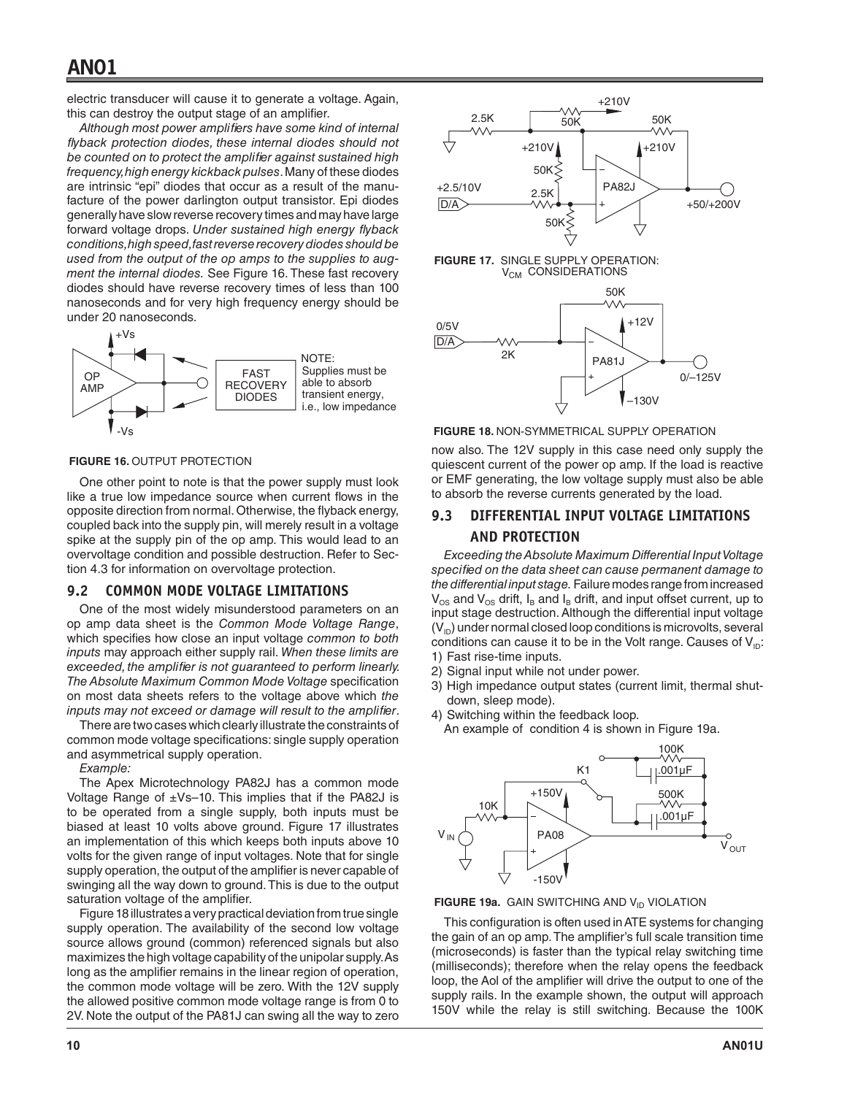electric transducer will cause it to generate a voltage. Again, this can destroy the output stage of an amplifier.

*Although most power amplifiers have some kind of internal flyback protection diodes, these internal diodes should not be counted on to protect the amplifier against sustained high frequency, high energy kickback pulses*. Many of these diodes are intrinsic "epi" diodes that occur as a result of the manufacture of the power darlington output transistor. Epi diodes generally have slow reverse recovery times and may have large forward voltage drops. *Under sustained high energy flyback conditions, high speed, fast reverse recovery diodes should be used from the output of the op amps to the supplies to augment the internal diodes.* See Figure 16. These fast recovery diodes should have reverse recovery times of less than 100 nanoseconds and for very high frequency energy should be under 20 nanoseconds.



#### **FIGURE 16.** OUTPUT PROTECTION

One other point to note is that the power supply must look like a true low impedance source when current flows in the opposite direction from normal. Otherwise, the flyback energy, coupled back into the supply pin, will merely result in a voltage spike at the supply pin of the op amp. This would lead to an overvoltage condition and possible destruction. Refer to Section 4.3 for information on overvoltage protection.

#### **9.2 COMMON MODE VOLTAGE LIMITATIONS**

One of the most widely misunderstood parameters on an op amp data sheet is the *Common Mode Voltage Range*, which specifies how close an input voltage *common to both inputs* may approach either supply rail. *When these limits are exceeded, the amplifier is not guaranteed to perform linearly. The Absolute Maximum Common Mode Voltage* specification on most data sheets refers to the voltage above which *the inputs may not exceed or damage will result to the amplifier*.

There are two cases which clearly illustrate the constraints of common mode voltage specifications: single supply operation and asymmetrical supply operation.

*Example:* 

The Apex Microtechnology PA82J has a common mode Voltage Range of  $\pm$ Vs–10. This implies that if the PA82J is to be operated from a single supply, both inputs must be biased at least 10 volts above ground. Figure 17 illustrates an implementation of this which keeps both inputs above 10 volts for the given range of input voltages. Note that for single supply operation, the output of the amplifier is never capable of swinging all the way down to ground. This is due to the output saturation voltage of the amplifier.

Figure 18 illustrates a very practical deviation from true single supply operation. The availability of the second low voltage source allows ground (common) referenced signals but also maximizes the high voltage capability of the unipolar supply. As long as the amplifier remains in the linear region of operation, the common mode voltage will be zero. With the 12V supply the allowed positive common mode voltage range is from 0 to 2V. Note the output of the PA81J can swing all the way to zero



**FIGURE 18.** NON-SYMMETRICAL SUPPLY OPERATION

now also. The 12V supply in this case need only supply the quiescent current of the power op amp. If the load is reactive or EMF generating, the low voltage supply must also be able to absorb the reverse currents generated by the load.

## **9.3 DIFFERENTIAL INPUT VOLTAGE LIMITATIONS AND PROTECTION**

*Exceeding the Absolute Maximum Differential Input Voltage specified on the data sheet can cause permanent damage to the differential input stage.* Failure modes range from increased  $V_{OS}$  and  $V_{OS}$  drift,  $I_B$  and  $I_B$  drift, and input offset current, up to input stage destruction. Although the differential input voltage  $(V_{ID})$  under normal closed loop conditions is microvolts, several conditions can cause it to be in the Volt range. Causes of  $V_{\text{ID}}$ : 1) Fast rise-time inputs.

- 2) Signal input while not under power.
- 3) High impedance output states (current limit, thermal shutdown, sleep mode).
- 4) Switching within the feedback loop.

An example of condition 4 is shown in Figure 19a.





This configuration is often used in ATE systems for changing the gain of an op amp. The amplifier's full scale transition time (microseconds) is faster than the typical relay switching time (milliseconds); therefore when the relay opens the feedback loop, the Aol of the amplifier will drive the output to one of the supply rails. In the example shown, the output will approach 150V while the relay is still switching. Because the 100K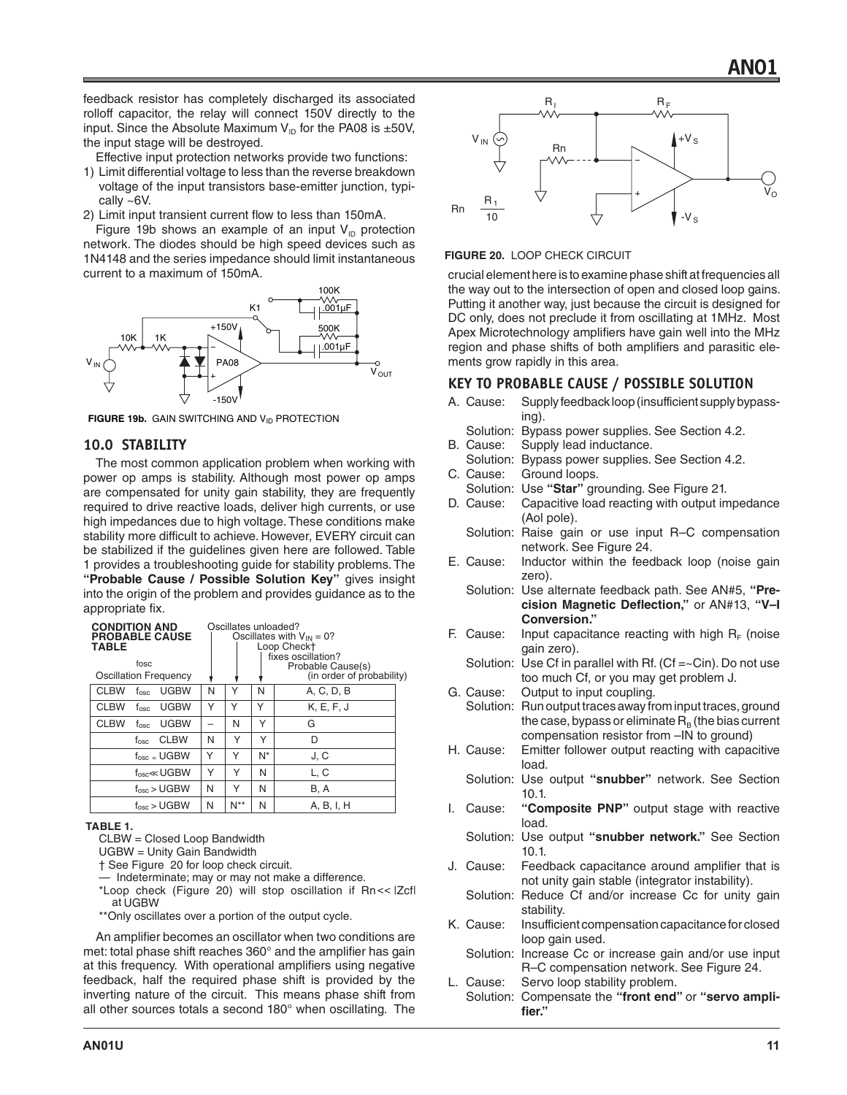feedback resistor has completely discharged its associated rolloff capacitor, the relay will connect 150V directly to the input. Since the Absolute Maximum  $V_{ID}$  for the PA08 is  $\pm 50V$ , the input stage will be destroyed.

Effective input protection networks provide two functions:

- 1) Limit differential voltage to less than the reverse breakdown voltage of the input transistors base-emitter junction, typically ~6V.
- 2) Limit input transient current flow to less than 150mA.

Figure 19b shows an example of an input  $V_{\text{ID}}$  protection network. The diodes should be high speed devices such as 1N4148 and the series impedance should limit instantaneous current to a maximum of 150mA.



**FIGURE 19b.** GAIN SWITCHING AND V<sub>ID</sub> PROTECTION

## **10.0 STABILITY**

The most common application problem when working with power op amps is stability. Although most power op amps are compensated for unity gain stability, they are frequently required to drive reactive loads, deliver high currents, or use high impedances due to high voltage. These conditions make stability more difficult to achieve. However, EVERY circuit can be stabilized if the guidelines given here are followed. Table 1 provides a troubleshooting guide for stability problems. The **"Probable Cause / Possible Solution Key"** gives insight into the origin of the problem and provides guidance as to the appropriate fix.

| <b>CONDITION AND</b><br><b>PROBABLE CAUSE</b><br><b>TABLE</b><br>fosc<br><b>Oscillation Frequency</b> |   | Oscillates unloaded? |    | Oscillates with $V_{IN} = 0$ ?<br>Loop Check+<br>fixes oscillation?<br>Probable Cause(s)<br>(in order of probability) |
|-------------------------------------------------------------------------------------------------------|---|----------------------|----|-----------------------------------------------------------------------------------------------------------------------|
| <b>CLBW</b><br><b>UGBW</b><br>$f_{\rm osc}$                                                           | N | Υ                    | N  | A, C, D, B                                                                                                            |
| <b>CLBW</b><br><b>UGBW</b><br>fosc                                                                    | Υ | Υ                    | Υ  | K, E, F, J                                                                                                            |
| <b>CLBW</b><br><b>UGBW</b><br>fosc                                                                    |   | N                    | Υ  | G                                                                                                                     |
| <b>CLBW</b><br>$t_{\rm osc}$                                                                          | N | Υ                    | Υ  | D                                                                                                                     |
| $f_{\rm osc}$ = UGBW                                                                                  | Υ | Υ                    | N* | J.C                                                                                                                   |
| $f_{\rm osc}$ < UGBW                                                                                  | Υ | Υ                    | N  | L, C                                                                                                                  |
| $f_{\rm osc}$ > UGBW                                                                                  | N | Υ                    | N  | B, A                                                                                                                  |
| $f_{osc}$ > UGBW                                                                                      | N | N**                  | N  | A, B, I, H                                                                                                            |

#### **TABLE 1.**

CLBW = Closed Loop Bandwidth

UGBW = Unity Gain Bandwidth

† See Figure 20 for loop check circuit.

— Indeterminate; may or may not make a difference.

\*Loop check (Figure 20) will stop oscillation if Rn << |Zcf| at UGBW .

\*\*Only oscillates over a portion of the output cycle.

An amplifier becomes an oscillator when two conditions are met: total phase shift reaches 360° and the amplifier has gain at this frequency. With operational amplifiers using negative feedback, half the required phase shift is provided by the inverting nature of the circuit. This means phase shift from all other sources totals a second 180° when oscillating. The



#### **FIGURE 20.** LOOP CHECK CIRCUIT

crucial element here is to examine phase shift at frequencies all the way out to the intersection of open and closed loop gains. Putting it another way, just because the circuit is designed for DC only, does not preclude it from oscillating at 1MHz. Most Apex Microtechnology amplifiers have gain well into the MHz region and phase shifts of both amplifiers and parasitic elements grow rapidly in this area.

#### **KEY TO PROBABLE CAUSE / POSSIBLE SOLUTION**

- A. Cause: Supply feedback loop (insufficient supply bypassing).
	- Solution: Bypass power supplies. See Section 4.2.
- B. Cause: Supply lead inductance.
- Solution: Bypass power supplies. See Section 4.2. C. Cause: Ground loops.
	- Solution: Use **"Star"** grounding. See Figure 21.
- D. Cause: Capacitive load reacting with output impedance (Aol pole).
	- Solution: Raise gain or use input R–C compensation network. See Figure 24.
- E. Cause: Inductor within the feedback loop (noise gain zero).

Solution: Use alternate feedback path. See AN#5, **"Precision Magnetic Deflection,"** or AN#13, **"V–I Conversion."**

- F. Cause: Input capacitance reacting with high  $R_F$  (noise gain zero).
	- Solution: Use Cf in parallel with Rf.  $(Cf = C)$ . Do not use too much Cf, or you may get problem J.
- G. Cause: Output to input coupling.

Solution: Run output traces away from input traces, ground the case, bypass or eliminate  $R_B$  (the bias current compensation resistor from –IN to ground)

- H. Cause: Emitter follower output reacting with capacitive load.
	- Solution: Use output **"snubber"** network. See Section 10.1.
- I. Cause: **"Composite PNP"** output stage with reactive load.
	- Solution: Use output **"snubber network."** See Section 10.1.
- J. Cause: Feedback capacitance around amplifier that is not unity gain stable (integrator instability).
	- Solution: Reduce Cf and/or increase Cc for unity gain stability.
- K. Cause: Insufficient compensation capacitance for closed loop gain used.
	- Solution: Increase Cc or increase gain and/or use input R–C compensation network. See Figure 24.
- L. Cause: Servo loop stability problem. Solution: Compensate the **"front end"** or **"servo amplifier."**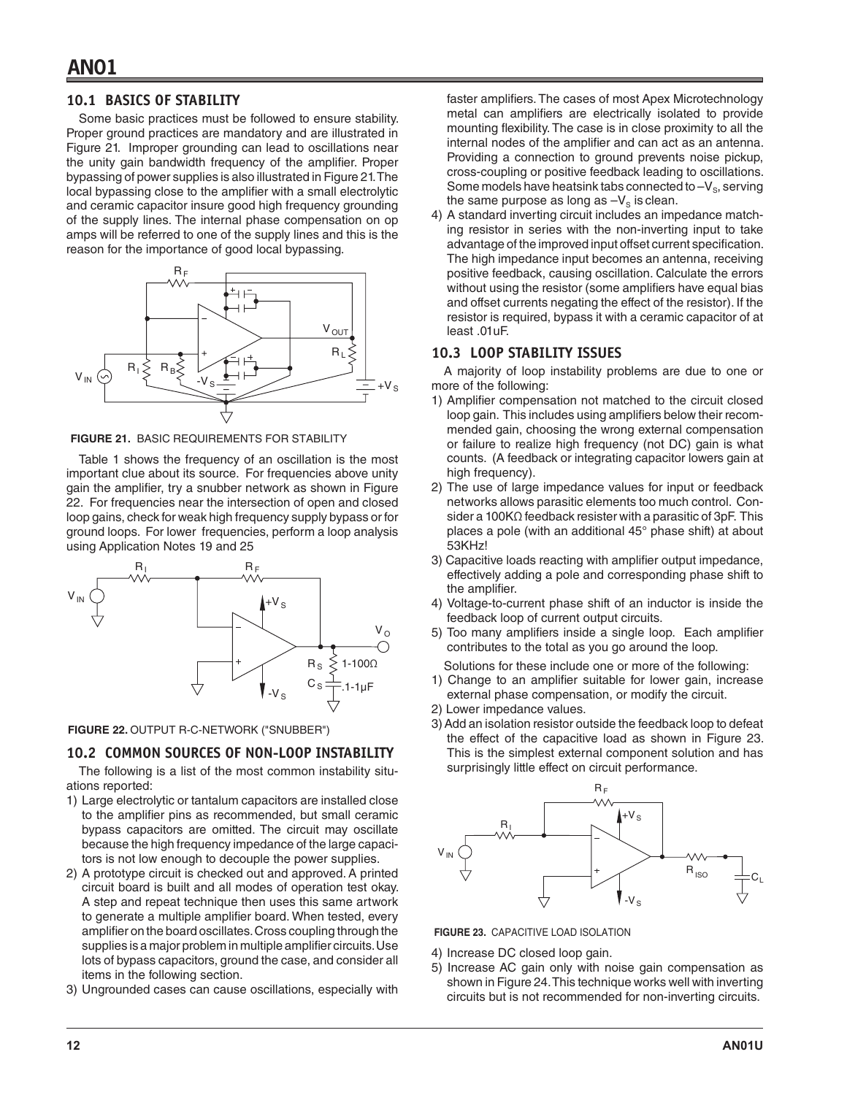### **10.1 BASICS OF STABILITY**

Some basic practices must be followed to ensure stability. Proper ground practices are mandatory and are illustrated in Figure 21. Improper grounding can lead to oscillations near the unity gain bandwidth frequency of the amplifier. Proper bypassing of power supplies is also illustrated in Figure 21. The local bypassing close to the amplifier with a small electrolytic and ceramic capacitor insure good high frequency grounding of the supply lines. The internal phase compensation on op amps will be referred to one of the supply lines and this is the reason for the importance of good local bypassing.



**FIGURE 21.** BASIC REQUIREMENTS FOR STABILITY

Table 1 shows the frequency of an oscillation is the most important clue about its source. For frequencies above unity gain the amplifier, try a snubber network as shown in Figure 22. For frequencies near the intersection of open and closed loop gains, check for weak high frequency supply bypass or for ground loops. For lower frequencies, perform a loop analysis using Application Notes 19 and 25



**FIGURE 22.** OUTPUT R-C-NETWORK ("SNUBBER")

## **10.2 COMMON SOURCES OF NON-LOOP INSTABILITY**

The following is a list of the most common instability situations reported:

- 1) Large electrolytic or tantalum capacitors are installed close to the amplifier pins as recommended, but small ceramic bypass capacitors are omitted. The circuit may oscillate because the high frequency impedance of the large capacitors is not low enough to decouple the power supplies.
- 2) A prototype circuit is checked out and approved. A printed circuit board is built and all modes of operation test okay. A step and repeat technique then uses this same artwork to generate a multiple amplifier board. When tested, every amplifier on the board oscillates. Cross coupling through the supplies is a major problem in multiple amplifier circuits. Use lots of bypass capacitors, ground the case, and consider all items in the following section.
- 3) Ungrounded cases can cause oscillations, especially with

faster amplifiers. The cases of most Apex Microtechnology metal can amplifiers are electrically isolated to provide mounting flexibility. The case is in close proximity to all the internal nodes of the amplifier and can act as an antenna. Providing a connection to ground prevents noise pickup, cross-coupling or positive feedback leading to oscillations. Some models have heatsink tabs connected to  $-V_s$ , serving the same purpose as long as  $-V<sub>s</sub>$  is clean.

4) A standard inverting circuit includes an impedance matching resistor in series with the non-inverting input to take advantage of the improved input offset current specification. The high impedance input becomes an antenna, receiving positive feedback, causing oscillation. Calculate the errors without using the resistor (some amplifiers have equal bias and offset currents negating the effect of the resistor). If the resistor is required, bypass it with a ceramic capacitor of at least .01uF.

## **10.3 LOOP STABILITY ISSUES**

A majority of loop instability problems are due to one or more of the following:

- 1) Amplifier compensation not matched to the circuit closed loop gain. This includes using amplifiers below their recommended gain, choosing the wrong external compensation or failure to realize high frequency (not DC) gain is what counts. (A feedback or integrating capacitor lowers gain at high frequency).
- 2) The use of large impedance values for input or feedback networks allows parasitic elements too much control. Consider a 100KΩ feedback resister with a parasitic of 3pF. This places a pole (with an additional 45° phase shift) at about 53KHz!
- 3) Capacitive loads reacting with amplifier output impedance, effectively adding a pole and corresponding phase shift to the amplifier.
- 4) Voltage-to-current phase shift of an inductor is inside the feedback loop of current output circuits.
- 5) Too many amplifiers inside a single loop. Each amplifier contributes to the total as you go around the loop.
- Solutions for these include one or more of the following:
- 1) Change to an amplifier suitable for lower gain, increase external phase compensation, or modify the circuit.
- 2) Lower impedance values.
- 3) Add an isolation resistor outside the feedback loop to defeat the effect of the capacitive load as shown in Figure 23. This is the simplest external component solution and has surprisingly little effect on circuit performance.



**FIGURE 23.** CAPACITIVE LOAD ISOLATION

- 4) Increase DC closed loop gain.
- 5) Increase AC gain only with noise gain compensation as shown in Figure 24. This technique works well with inverting circuits but is not recommended for non-inverting circuits.